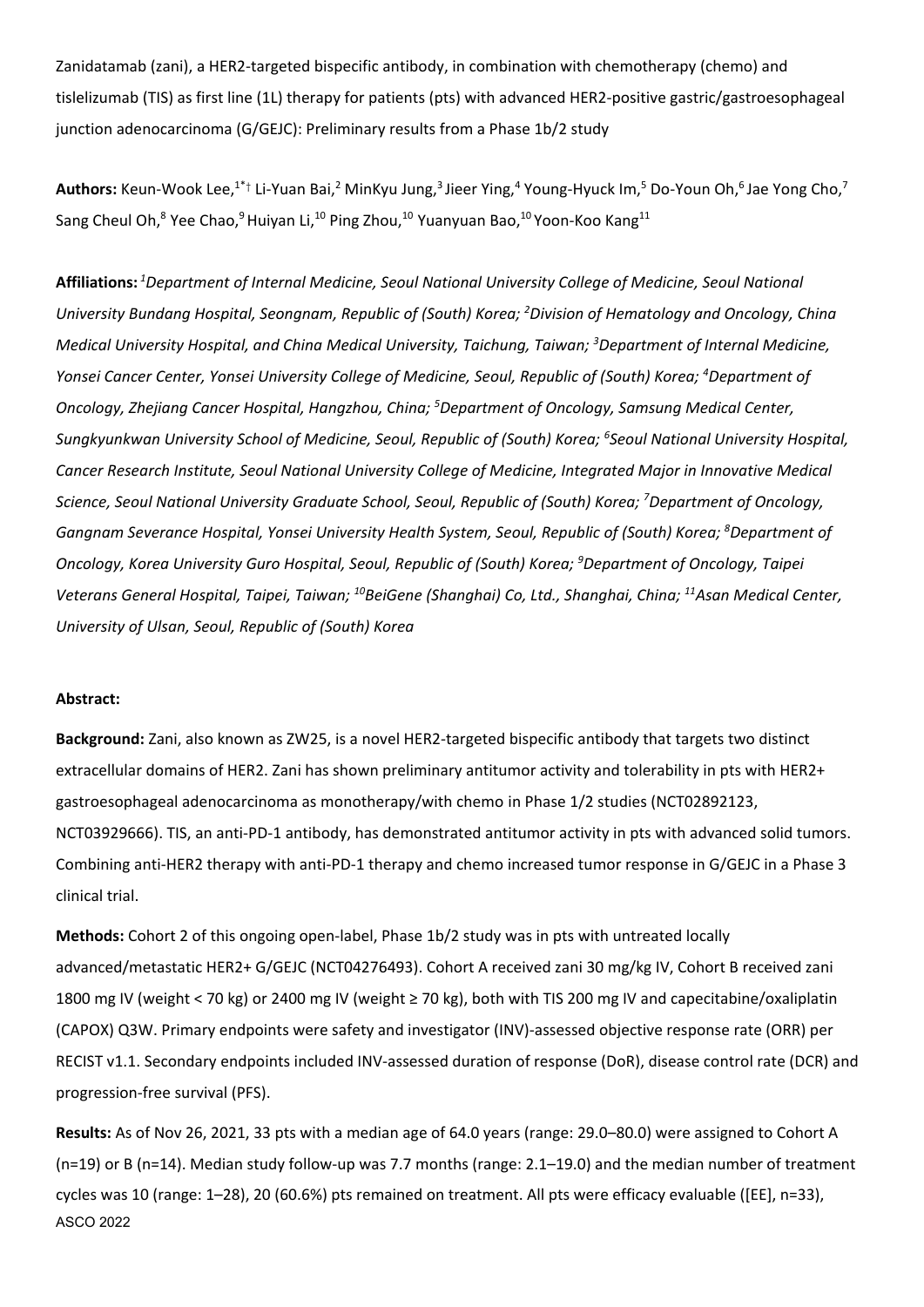Zanidatamab (zani), a HER2-targeted bispecific antibody, in combination with chemotherapy (chemo) and tislelizumab (TIS) as first line (1L) therapy for patients (pts) with advanced HER2-positive gastric/gastroesophageal junction adenocarcinoma (G/GEJC): Preliminary results from a Phase 1b/2 study

Authors: Keun-Wook Lee,<sup>1\*</sup>† Li-Yuan Bai,<sup>2</sup> MinKyu Jung,<sup>3</sup> Jieer Ying,<sup>4</sup> Young-Hyuck Im,<sup>5</sup> Do-Youn Oh,<sup>6</sup> Jae Yong Cho,<sup>7</sup> Sang Cheul Oh,<sup>8</sup> Yee Chao,<sup>9</sup> Huiyan Li,<sup>10</sup> Ping Zhou,<sup>10</sup> Yuanyuan Bao,<sup>10</sup> Yoon-Koo Kang<sup>11</sup>

**Affiliations:** *<sup>1</sup>Department of Internal Medicine, Seoul National University College of Medicine, Seoul National University Bundang Hospital, Seongnam, Republic of (South) Korea; <sup>2</sup>Division of Hematology and Oncology, China Medical University Hospital, and China Medical University, Taichung, Taiwan; <sup>3</sup>Department of Internal Medicine, Yonsei Cancer Center, Yonsei University College of Medicine, Seoul, Republic of (South) Korea; <sup>4</sup>Department of Oncology, Zhejiang Cancer Hospital, Hangzhou, China; <sup>5</sup>Department of Oncology, Samsung Medical Center, Sungkyunkwan University School of Medicine, Seoul, Republic of (South) Korea; 6 Seoul National University Hospital, Cancer Research Institute, Seoul National University College of Medicine, Integrated Major in Innovative Medical Science, Seoul National University Graduate School, Seoul, Republic of (South) Korea; <sup>7</sup>Department of Oncology, Gangnam Severance Hospital, Yonsei University Health System, Seoul, Republic of (South) Korea; <sup>8</sup>Department of Oncology, Korea University Guro Hospital, Seoul, Republic of (South) Korea; <sup>9</sup>Department of Oncology, Taipei Veterans General Hospital, Taipei, Taiwan; <sup>10</sup>BeiGene (Shanghai) Co, Ltd., Shanghai, China; <sup>11</sup>Asan Medical Center, University of Ulsan, Seoul, Republic of (South) Korea*

## **Abstract:**

**Background:** Zani, also known as ZW25, is a novel HER2-targeted bispecific antibody that targets two distinct extracellular domains of HER2. Zani has shown preliminary antitumor activity and tolerability in pts with HER2+ gastroesophageal adenocarcinoma as monotherapy/with chemo in Phase 1/2 studies (NCT02892123, NCT03929666). TIS, an anti-PD-1 antibody, has demonstrated antitumor activity in pts with advanced solid tumors. Combining anti-HER2 therapy with anti-PD-1 therapy and chemo increased tumor response in G/GEJC in a Phase 3 clinical trial.

**Methods:** Cohort 2 of this ongoing open-label, Phase 1b/2 study was in pts with untreated locally advanced/metastatic HER2+ G/GEJC (NCT04276493). Cohort A received zani 30 mg/kg IV, Cohort B received zani 1800 mg IV (weight < 70 kg) or 2400 mg IV (weight ≥ 70 kg), both with TIS 200 mg IV and capecitabine/oxaliplatin (CAPOX) Q3W. Primary endpoints were safety and investigator (INV)-assessed objective response rate (ORR) per RECIST v1.1. Secondary endpoints included INV-assessed duration of response (DoR), disease control rate (DCR) and progression-free survival (PFS).

**Results:** As of Nov 26, 2021, 33 pts with a median age of 64.0 years (range: 29.0–80.0) were assigned to Cohort A (n=19) or B (n=14). Median study follow-up was 7.7 months (range: 2.1–19.0) and the median number of treatment cycles was 10 (range: 1–28), 20 (60.6%) pts remained on treatment. All pts were efficacy evaluable ([EE], n=33), ASCO 2022